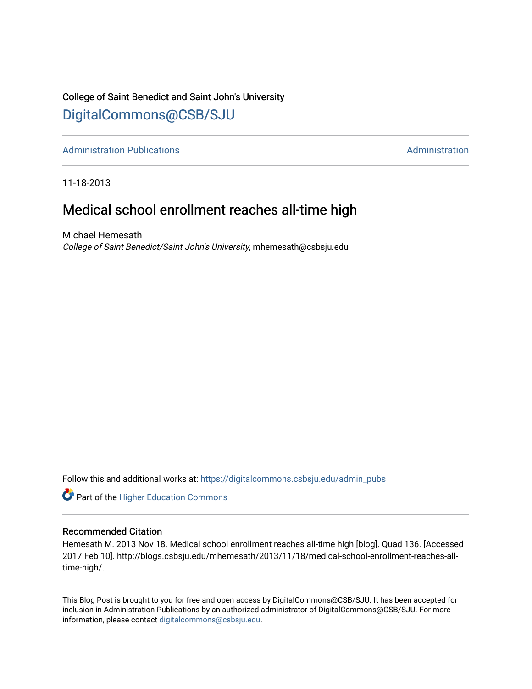## College of Saint Benedict and Saint John's University [DigitalCommons@CSB/SJU](https://digitalcommons.csbsju.edu/)

[Administration Publications](https://digitalcommons.csbsju.edu/admin_pubs) **Administration** Administration

11-18-2013

## Medical school enrollment reaches all-time high

Michael Hemesath College of Saint Benedict/Saint John's University, mhemesath@csbsju.edu

Follow this and additional works at: [https://digitalcommons.csbsju.edu/admin\\_pubs](https://digitalcommons.csbsju.edu/admin_pubs?utm_source=digitalcommons.csbsju.edu%2Fadmin_pubs%2F41&utm_medium=PDF&utm_campaign=PDFCoverPages)

**Part of the Higher Education Commons** 

#### Recommended Citation

Hemesath M. 2013 Nov 18. Medical school enrollment reaches all-time high [blog]. Quad 136. [Accessed 2017 Feb 10]. http://blogs.csbsju.edu/mhemesath/2013/11/18/medical-school-enrollment-reaches-alltime-high/.

This Blog Post is brought to you for free and open access by DigitalCommons@CSB/SJU. It has been accepted for inclusion in Administration Publications by an authorized administrator of DigitalCommons@CSB/SJU. For more information, please contact [digitalcommons@csbsju.edu.](mailto:digitalcommons@csbsju.edu)